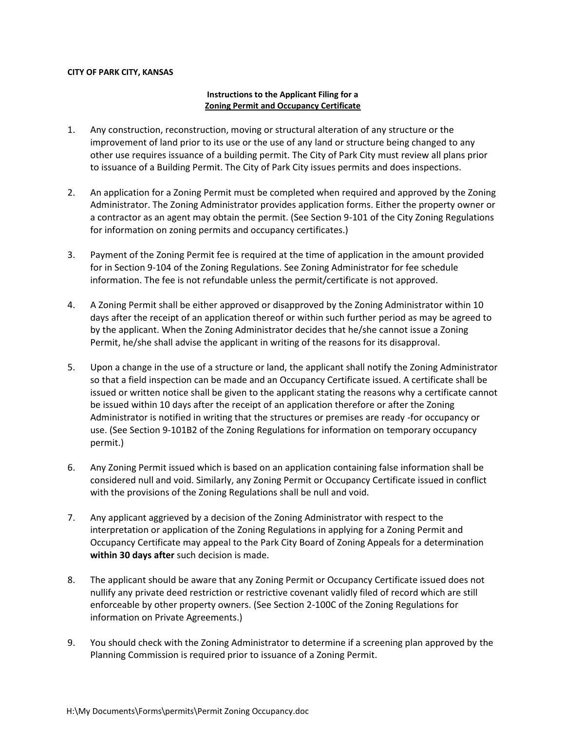## **CITY OF PARK CITY, KANSAS**

## **Instructions to the Applicant Filing for a Zoning Permit and Occupancy Certificate**

- 1. Any construction, reconstruction, moving or structural alteration of any structure or the improvement of land prior to its use or the use of any land or structure being changed to any other use requires issuance of a building permit. The City of Park City must review all plans prior to issuance of a Building Permit. The City of Park City issues permits and does inspections.
- 2. An application for a Zoning Permit must be completed when required and approved by the Zoning Administrator. The Zoning Administrator provides application forms. Either the property owner or a contractor as an agent may obtain the permit. (See Section 9-101 of the City Zoning Regulations for information on zoning permits and occupancy certificates.)
- 3. Payment of the Zoning Permit fee is required at the time of application in the amount provided for in Section 9-104 of the Zoning Regulations. See Zoning Administrator for fee schedule information. The fee is not refundable unless the permit/certificate is not approved.
- 4. A Zoning Permit shall be either approved or disapproved by the Zoning Administrator within 10 days after the receipt of an application thereof or within such further period as may be agreed to by the applicant. When the Zoning Administrator decides that he/she cannot issue a Zoning Permit, he/she shall advise the applicant in writing of the reasons for its disapproval.
- 5. Upon a change in the use of a structure or land, the applicant shall notify the Zoning Administrator so that a field inspection can be made and an Occupancy Certificate issued. A certificate shall be issued or written notice shall be given to the applicant stating the reasons why a certificate cannot be issued within 10 days after the receipt of an application therefore or after the Zoning Administrator is notified in writing that the structures or premises are ready -for occupancy or use. (See Section 9-101B2 of the Zoning Regulations for information on temporary occupancy permit.)
- 6. Any Zoning Permit issued which is based on an application containing false information shall be considered null and void. Similarly, any Zoning Permit or Occupancy Certificate issued in conflict with the provisions of the Zoning Regulations shall be null and void.
- 7. Any applicant aggrieved by a decision of the Zoning Administrator with respect to the interpretation or application of the Zoning Regulations in applying for a Zoning Permit and Occupancy Certificate may appeal to the Park City Board of Zoning Appeals for a determination **within 30 days after** such decision is made.
- 8. The applicant should be aware that any Zoning Permit or Occupancy Certificate issued does not nullify any private deed restriction or restrictive covenant validly filed of record which are still enforceable by other property owners. (See Section 2-100C of the Zoning Regulations for information on Private Agreements.)
- 9. You should check with the Zoning Administrator to determine if a screening plan approved by the Planning Commission is required prior to issuance of a Zoning Permit.